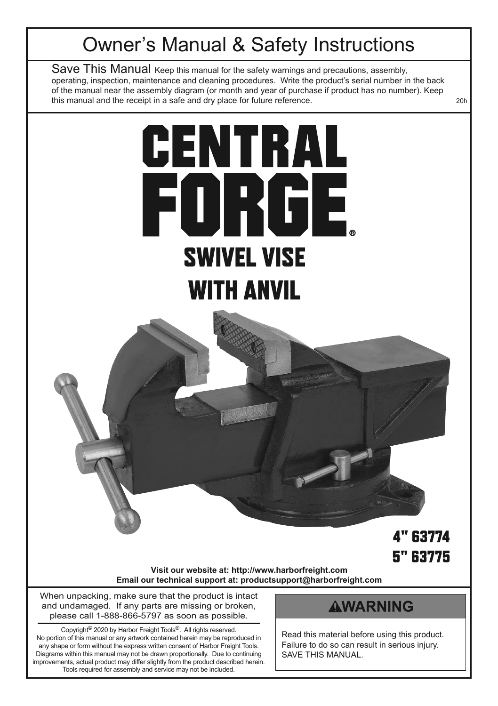# Owner's Manual & Safety Instructions

Save This Manual Keep this manual for the safety warnings and precautions, assembly, operating, inspection, maintenance and cleaning procedures. Write the product's serial number in the back of the manual near the assembly diagram (or month and year of purchase if product has no number). Keep this manual and the receipt in a safe and dry place for future reference.

# CENTRAL FORGE **SWIVEL VISE WITH ANVIL**

# **4" 63774 5" 63775**

**Visit our website at: http://www.harborfreight.com Email our technical support at: productsupport@harborfreight.com**

When unpacking, make sure that the product is intact and undamaged. If any parts are missing or broken, please call 1-888-866-5797 as soon as possible.

Copyright© 2020 by Harbor Freight Tools®. All rights reserved. No portion of this manual or any artwork contained herein may be reproduced in any shape or form without the express written consent of Harbor Freight Tools. Diagrams within this manual may not be drawn proportionally. Due to continuing improvements, actual product may differ slightly from the product described herein. Tools required for assembly and service may not be included.

#### **AWARNING**

Read this material before using this product. Failure to do so can result in serious injury. SAVE THIS MANUAL.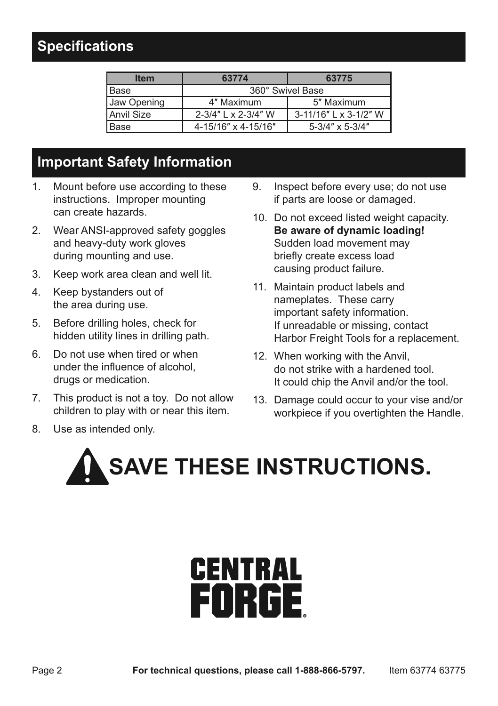# **Specifications**

| <b>Item</b> | 63774               | 63775                      |  |
|-------------|---------------------|----------------------------|--|
| Base        | 360° Swivel Base    |                            |  |
| Jaw Opening | 4" Maximum          | 5" Maximum                 |  |
| Anvil Size  | 2-3/4" L x 2-3/4" W | 3-11/16" L x 3-1/2" W      |  |
| Base        | 4-15/16" x 4-15/16" | $5 - 3/4" \times 5 - 3/4"$ |  |

# **Important Safety Information**

- 1. Mount before use according to these instructions. Improper mounting can create hazards.
- 2. Wear ANSI-approved safety goggles and heavy-duty work gloves during mounting and use.
- 3. Keep work area clean and well lit.
- 4. Keep bystanders out of the area during use.
- 5. Before drilling holes, check for hidden utility lines in drilling path.
- 6. Do not use when tired or when under the influence of alcohol, drugs or medication.
- 7. This product is not a toy. Do not allow children to play with or near this item.
- 8. Use as intended only.
- 9. Inspect before every use; do not use if parts are loose or damaged.
- 10. Do not exceed listed weight capacity. **Be aware of dynamic loading!** Sudden load movement may briefly create excess load causing product failure.
- 11. Maintain product labels and nameplates. These carry important safety information. If unreadable or missing, contact Harbor Freight Tools for a replacement.
- 12. When working with the Anvil, do not strike with a hardened tool. It could chip the Anvil and/or the tool.
- 13. Damage could occur to your vise and/or workpiece if you overtighten the Handle.



# **CENTRAL** FORGE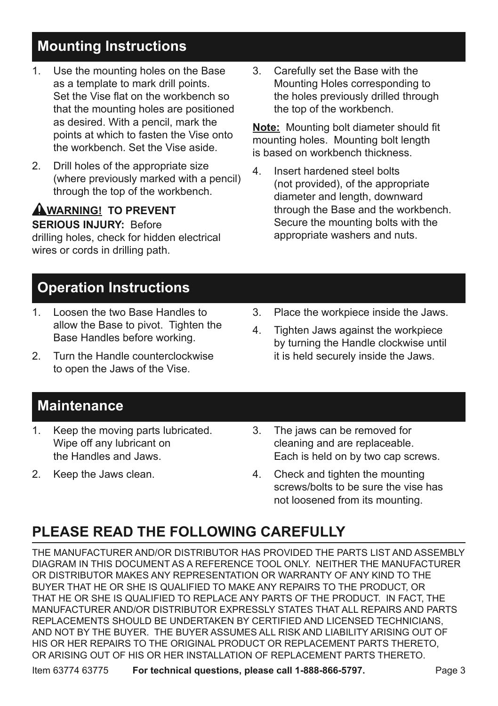#### **Mounting Instructions**

- 1. Use the mounting holes on the Base as a template to mark drill points. Set the Vise flat on the workbench so that the mounting holes are positioned as desired. With a pencil, mark the points at which to fasten the Vise onto the workbench. Set the Vise aside.
- 2. Drill holes of the appropriate size (where previously marked with a pencil) through the top of the workbench.

# **AWARNING! TO PREVENT SERIOUS INJURY:** Before

drilling holes, check for hidden electrical wires or cords in drilling path.

3. Carefully set the Base with the Mounting Holes corresponding to the holes previously drilled through the top of the workbench.

**Note:** Mounting bolt diameter should fit mounting holes. Mounting bolt length is based on workbench thickness.

4. Insert hardened steel bolts (not provided), of the appropriate diameter and length, downward through the Base and the workbench. Secure the mounting bolts with the appropriate washers and nuts.

# **Operation Instructions**

- 1. Loosen the two Base Handles to allow the Base to pivot. Tighten the Base Handles before working.
- 2. Turn the Handle counterclockwise to open the Jaws of the Vise.
- 3. Place the workpiece inside the Jaws.
- 4. Tighten Jaws against the workpiece by turning the Handle clockwise until it is held securely inside the Jaws.

# **Maintenance**

- 1. Keep the moving parts lubricated. Wipe off any lubricant on the Handles and Jaws.
- 2. Keep the Jaws clean.
- 3. The jaws can be removed for cleaning and are replaceable. Each is held on by two cap screws.
- 4. Check and tighten the mounting screws/bolts to be sure the vise has not loosened from its mounting.

# **PLEASE READ THE FOLLOWING CAREFULLY**

THE MANUFACTURER AND/OR DISTRIBUTOR HAS PROVIDED THE PARTS LIST AND ASSEMBLY DIAGRAM IN THIS DOCUMENT AS A REFERENCE TOOL ONLY. NEITHER THE MANUFACTURER OR DISTRIBUTOR MAKES ANY REPRESENTATION OR WARRANTY OF ANY KIND TO THE BUYER THAT HE OR SHE IS QUALIFIED TO MAKE ANY REPAIRS TO THE PRODUCT, OR THAT HE OR SHE IS QUALIFIED TO REPLACE ANY PARTS OF THE PRODUCT. IN FACT, THE MANUFACTURER AND/OR DISTRIBUTOR EXPRESSLY STATES THAT ALL REPAIRS AND PARTS REPLACEMENTS SHOULD BE UNDERTAKEN BY CERTIFIED AND LICENSED TECHNICIANS, AND NOT BY THE BUYER. THE BUYER ASSUMES ALL RISK AND LIABILITY ARISING OUT OF HIS OR HER REPAIRS TO THE ORIGINAL PRODUCT OR REPLACEMENT PARTS THERETO, OR ARISING OUT OF HIS OR HER INSTALLATION OF REPLACEMENT PARTS THERETO.